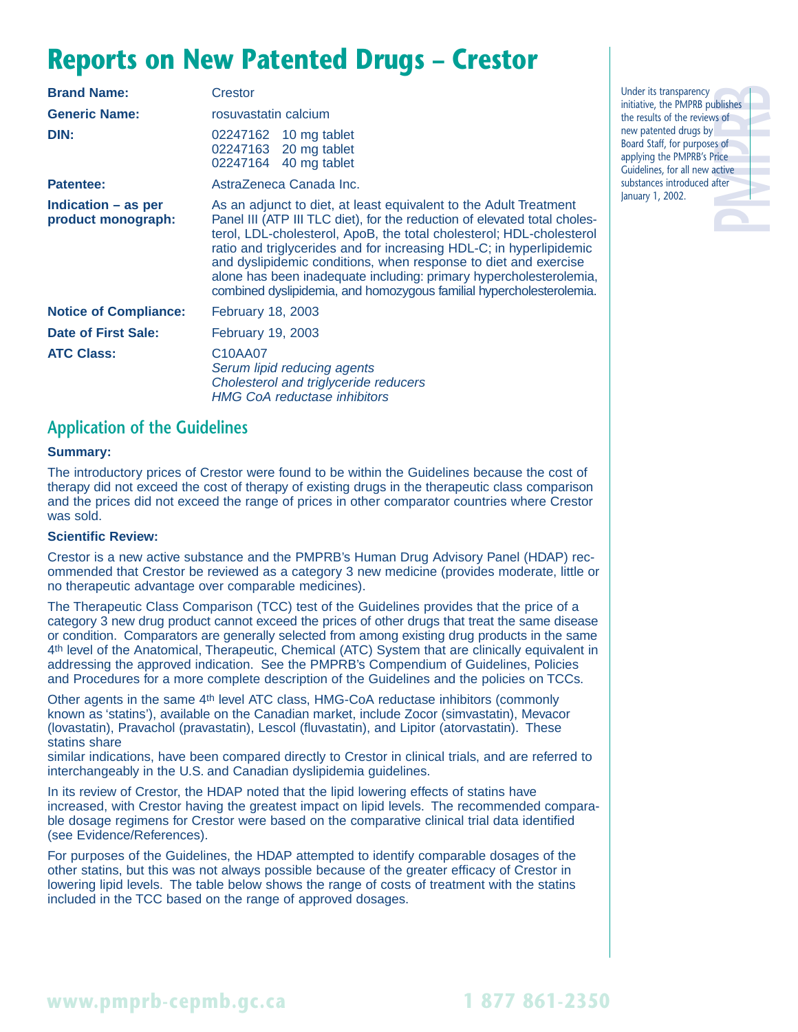## **Reports on New Patented Drugs – Crestor**

| <b>Brand Name:</b>                        | Crestor                                                                                                                                                                                                                                                                                                                                                                                                                                                                                                        |  |  |
|-------------------------------------------|----------------------------------------------------------------------------------------------------------------------------------------------------------------------------------------------------------------------------------------------------------------------------------------------------------------------------------------------------------------------------------------------------------------------------------------------------------------------------------------------------------------|--|--|
| <b>Generic Name:</b>                      | rosuvastatin calcium                                                                                                                                                                                                                                                                                                                                                                                                                                                                                           |  |  |
| DIN:                                      | 02247162 10 mg tablet<br>02247163 20 mg tablet<br>02247164 40 mg tablet                                                                                                                                                                                                                                                                                                                                                                                                                                        |  |  |
| <b>Patentee:</b>                          | AstraZeneca Canada Inc.                                                                                                                                                                                                                                                                                                                                                                                                                                                                                        |  |  |
| Indication – as per<br>product monograph: | As an adjunct to diet, at least equivalent to the Adult Treatment<br>Panel III (ATP III TLC diet), for the reduction of elevated total choles-<br>terol, LDL-cholesterol, ApoB, the total cholesterol; HDL-cholesterol<br>ratio and triglycerides and for increasing HDL-C; in hyperlipidemic<br>and dyslipidemic conditions, when response to diet and exercise<br>alone has been inadequate including: primary hypercholesterolemia,<br>combined dyslipidemia, and homozygous familial hypercholesterolemia. |  |  |
| <b>Notice of Compliance:</b>              | <b>February 18, 2003</b>                                                                                                                                                                                                                                                                                                                                                                                                                                                                                       |  |  |
| Date of First Sale:                       | <b>February 19, 2003</b>                                                                                                                                                                                                                                                                                                                                                                                                                                                                                       |  |  |
| <b>ATC Class:</b>                         | C <sub>10</sub> A <sub>A07</sub><br>Serum lipid reducing agents<br>Cholesterol and triglyceride reducers<br><b>HMG CoA reductase inhibitors</b>                                                                                                                                                                                                                                                                                                                                                                |  |  |

### **Application of the Guidelines**

#### **Summary:**

The introductory prices of Crestor were found to be within the Guidelines because the cost of therapy did not exceed the cost of therapy of existing drugs in the therapeutic class comparison and the prices did not exceed the range of prices in other comparator countries where Crestor was sold.

#### **Scientific Review:**

Crestor is a new active substance and the PMPRB's Human Drug Advisory Panel (HDAP) recommended that Crestor be reviewed as a category 3 new medicine (provides moderate, little or no therapeutic advantage over comparable medicines).

The Therapeutic Class Comparison (TCC) test of the Guidelines provides that the price of a category 3 new drug product cannot exceed the prices of other drugs that treat the same disease or condition. Comparators are generally selected from among existing drug products in the same 4th level of the Anatomical, Therapeutic, Chemical (ATC) System that are clinically equivalent in addressing the approved indication. See the PMPRB's Compendium of Guidelines, Policies and Procedures for a more complete description of the Guidelines and the policies on TCCs.

Other agents in the same 4th level ATC class, HMG-CoA reductase inhibitors (commonly known as 'statins'), available on the Canadian market, include Zocor (simvastatin), Mevacor (lovastatin), Pravachol (pravastatin), Lescol (fluvastatin), and Lipitor (atorvastatin). These statins share

similar indications, have been compared directly to Crestor in clinical trials, and are referred to interchangeably in the U.S. and Canadian dyslipidemia guidelines.

In its review of Crestor, the HDAP noted that the lipid lowering effects of statins have increased, with Crestor having the greatest impact on lipid levels. The recommended comparable dosage regimens for Crestor were based on the comparative clinical trial data identified (see Evidence/References).

For purposes of the Guidelines, the HDAP attempted to identify comparable dosages of the other statins, but this was not always possible because of the greater efficacy of Crestor in lowering lipid levels. The table below shows the range of costs of treatment with the statins included in the TCC based on the range of approved dosages.

**PMPRB** Under its transparency initiative, the PMPRB publishes the results of the reviews of new patented drugs by Board Staff, for purposes of applying the PMPRB's Price Guidelines, for all new active substances introduced after January 1, 2002.

**www.pmprb-cepmb.gc.ca 1 877 861-2350**